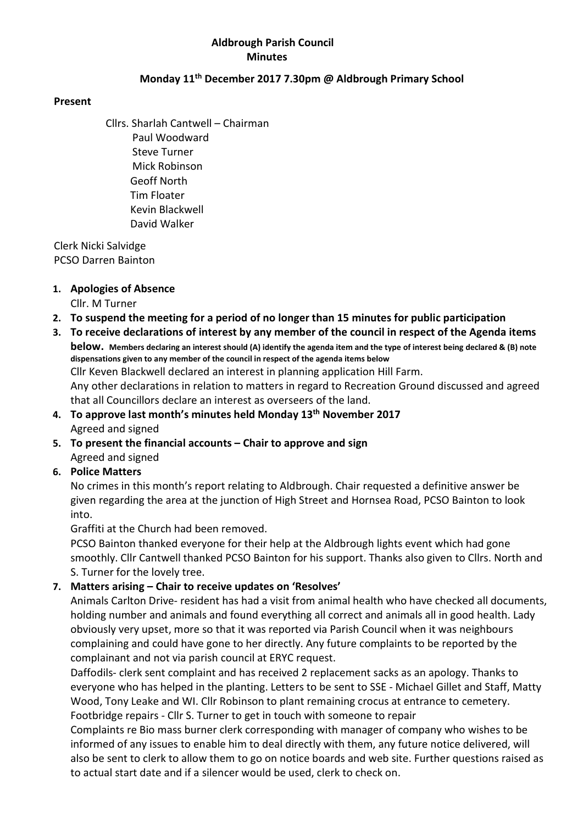#### Aldbrough Parish Council **Minutes**

#### Monday 11<sup>th</sup> December 2017 7.30pm @ Aldbrough Primary School

#### Present

Cllrs. Sharlah Cantwell – Chairman Paul Woodward Steve Turner Mick Robinson Geoff North Tim Floater Kevin Blackwell David Walker

 Clerk Nicki Salvidge PCSO Darren Bainton

#### 1. Apologies of Absence

Cllr. M Turner

- 2. To suspend the meeting for a period of no longer than 15 minutes for public participation
- 3. To receive declarations of interest by any member of the council in respect of the Agenda items below. Members declaring an interest should (A) identify the agenda item and the type of interest being declared & (B) note dispensations given to any member of the council in respect of the agenda items below Cllr Keven Blackwell declared an interest in planning application Hill Farm. Any other declarations in relation to matters in regard to Recreation Ground discussed and agreed that all Councillors declare an interest as overseers of the land.
- 4. To approve last month's minutes held Monday 13<sup>th</sup> November 2017 Agreed and signed
- 5. To present the financial accounts Chair to approve and sign Agreed and signed

## 6. Police Matters

No crimes in this month's report relating to Aldbrough. Chair requested a definitive answer be given regarding the area at the junction of High Street and Hornsea Road, PCSO Bainton to look into.

Graffiti at the Church had been removed.

PCSO Bainton thanked everyone for their help at the Aldbrough lights event which had gone smoothly. Cllr Cantwell thanked PCSO Bainton for his support. Thanks also given to Cllrs. North and S. Turner for the lovely tree.

## 7. Matters arising – Chair to receive updates on 'Resolves'

Animals Carlton Drive- resident has had a visit from animal health who have checked all documents, holding number and animals and found everything all correct and animals all in good health. Lady obviously very upset, more so that it was reported via Parish Council when it was neighbours complaining and could have gone to her directly. Any future complaints to be reported by the complainant and not via parish council at ERYC request.

Daffodils- clerk sent complaint and has received 2 replacement sacks as an apology. Thanks to everyone who has helped in the planting. Letters to be sent to SSE - Michael Gillet and Staff, Matty Wood, Tony Leake and WI. Cllr Robinson to plant remaining crocus at entrance to cemetery. Footbridge repairs - Cllr S. Turner to get in touch with someone to repair

Complaints re Bio mass burner clerk corresponding with manager of company who wishes to be informed of any issues to enable him to deal directly with them, any future notice delivered, will also be sent to clerk to allow them to go on notice boards and web site. Further questions raised as to actual start date and if a silencer would be used, clerk to check on.